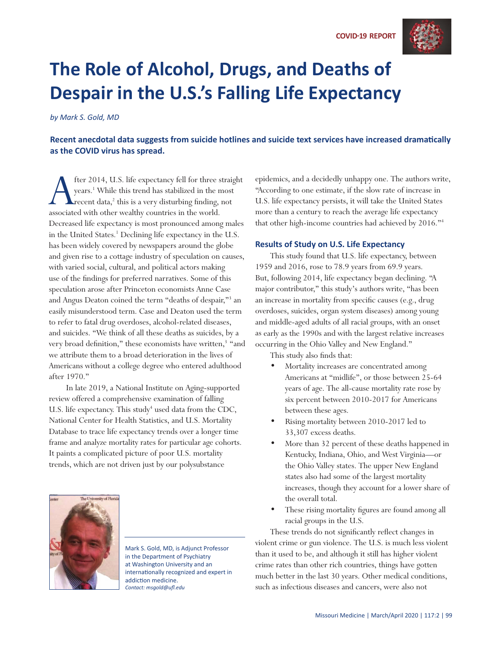

## **The Role of Alcohol, Drugs, and Deaths of Despair in the U.S.'s Falling Life Expectancy**

*by Mark S. Gold, MD*

Recent anecdotal data suggests from suicide hotlines and suicide text services have increased dramatically **as the COVID virus has spread.** 

fter 2014, U.S. life expectancy fell for three straight<br>years.<sup>1</sup> While this trend has stabilized in the most<br>recent data,<sup>2</sup> this is a very disturbing finding, not<br>associated with other wealthy countries in the world. years.1 While this trend has stabilized in the most recent data,<sup>2</sup> this is a very disturbing finding, not associated with other wealthy countries in the world. Decreased life expectancy is most pronounced among males in the United States.<sup>1</sup> Declining life expectancy in the U.S. has been widely covered by newspapers around the globe and given rise to a cottage industry of speculation on causes, with varied social, cultural, and political actors making use of the findings for preferred narratives. Some of this speculation arose after Princeton economists Anne Case and Angus Deaton coined the term "deaths of despair,"<sup>3</sup> an easily misunderstood term. Case and Deaton used the term to refer to fatal drug overdoses, alcohol-related diseases, and suicides. "We think of all these deaths as suicides, by a very broad definition," these economists have written,<sup>3</sup> "and we attribute them to a broad deterioration in the lives of Americans without a college degree who entered adulthood after 1970."

 In late 2019, a National Institute on Aging-supported review offered a comprehensive examination of falling U.S. life expectancy. This study<sup>4</sup> used data from the CDC, National Center for Health Statistics, and U.S. Mortality Database to trace life expectancy trends over a longer time frame and analyze mortality rates for particular age cohorts. It paints a complicated picture of poor U.S. mortality trends, which are not driven just by our polysubstance



Mark S. Gold, MD, is Adjunct Professor in the Department of Psychiatry at Washington University and an internationally recognized and expert in addiction medicine. *Contact: msgold@ufl .edu*

epidemics, and a decidedly unhappy one. The authors write, "According to one estimate, if the slow rate of increase in U.S. life expectancy persists, it will take the United States more than a century to reach the average life expectancy that other high-income countries had achieved by 2016."4

## **Results of Study on U.S. Life Expectancy**

This study found that U.S. life expectancy, between 1959 and 2016, rose to 78.9 years from 69.9 years. But, following 2014, life expectancy began declining. "A major contributor," this study's authors write, "has been an increase in mortality from specific causes (e.g., drug overdoses, suicides, organ system diseases) among young and middle-aged adults of all racial groups, with an onset as early as the 1990s and with the largest relative increases occurring in the Ohio Valley and New England."

This study also finds that:

- Mortality increases are concentrated among Americans at "midlife", or those between 25-64 years of age. The all-cause mortality rate rose by six percent between 2010-2017 for Americans between these ages.
- Rising mortality between 2010-2017 led to 33,307 excess deaths.
- More than 32 percent of these deaths happened in Kentucky, Indiana, Ohio, and West Virginia—or the Ohio Valley states. The upper New England states also had some of the largest mortality increases, though they account for a lower share of the overall total.
- These rising mortality figures are found among all racial groups in the U.S.

These trends do not significantly reflect changes in violent crime or gun violence. The U.S. is much less violent than it used to be, and although it still has higher violent crime rates than other rich countries, things have gotten much better in the last 30 years. Other medical conditions, such as infectious diseases and cancers, were also not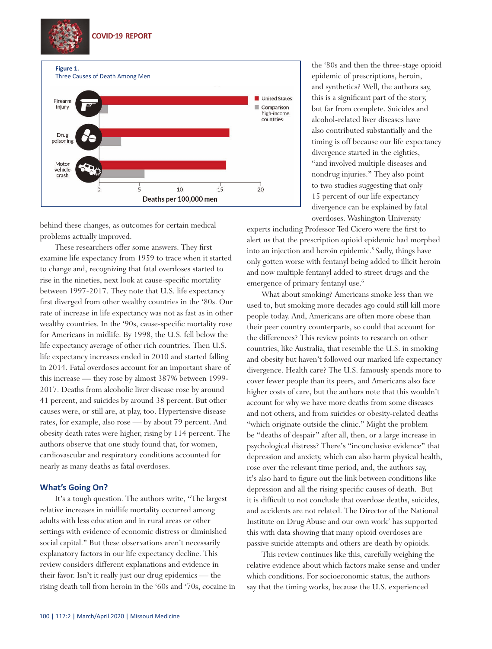

behind these changes, as outcomes for certain medical problems actually improved.

These researchers offer some answers. They first examine life expectancy from 1959 to trace when it started to change and, recognizing that fatal overdoses started to rise in the nineties, next look at cause-specific mortality between 1997-2017. They note that U.S. life expectancy first diverged from other wealthy countries in the '80s. Our rate of increase in life expectancy was not as fast as in other wealthy countries. In the '90s, cause-specific mortality rose for Americans in midlife. By 1998, the U.S. fell below the life expectancy average of other rich countries. Then U.S. life expectancy increases ended in 2010 and started falling in 2014. Fatal overdoses account for an important share of this increase — they rose by almost 387% between 1999- 2017. Deaths from alcoholic liver disease rose by around 41 percent, and suicides by around 38 percent. But other causes were, or still are, at play, too. Hypertensive disease rates, for example, also rose — by about 79 percent. And obesity death rates were higher, rising by 114 percent. The authors observe that one study found that, for women, cardiovascular and respiratory conditions accounted for nearly as many deaths as fatal overdoses.

## **What's Going On?**

It's a tough question. The authors write, "The largest relative increases in midlife mortality occurred among adults with less education and in rural areas or other settings with evidence of economic distress or diminished social capital." But these observations aren't necessarily explanatory factors in our life expectancy decline. This review considers different explanations and evidence in their favor. Isn't it really just our drug epidemics — the rising death toll from heroin in the '60s and '70s, cocaine in the '80s and then the three-stage opioid epidemic of prescriptions, heroin, and synthetics? Well, the authors say, this is a significant part of the story, but far from complete. Suicides and alcohol-related liver diseases have also contributed substantially and the timing is off because our life expectancy divergence started in the eighties, "and involved multiple diseases and nondrug injuries." They also point to two studies suggesting that only 15 percent of our life expectancy divergence can be explained by fatal overdoses. Washington University

experts including Professor Ted Cicero were the first to alert us that the prescription opioid epidemic had morphed into an injection and heroin epidemic.<sup>5</sup> Sadly, things have only gotten worse with fentanyl being added to illicit heroin and now multiple fentanyl added to street drugs and the emergence of primary fentanyl use.<sup>6</sup>

What about smoking? Americans smoke less than we used to, but smoking more decades ago could still kill more people today. And, Americans are often more obese than their peer country counterparts, so could that account for the differences? This review points to research on other countries, like Australia, that resemble the U.S. in smoking and obesity but haven't followed our marked life expectancy divergence. Health care? The U.S. famously spends more to cover fewer people than its peers, and Americans also face higher costs of care, but the authors note that this wouldn't account for why we have more deaths from some diseases and not others, and from suicides or obesity-related deaths "which originate outside the clinic." Might the problem be "deaths of despair" after all, then, or a large increase in psychological distress? There's "inconclusive evidence" that depression and anxiety, which can also harm physical health, rose over the relevant time period, and, the authors say, it's also hard to figure out the link between conditions like depression and all the rising specific causes of death. But it is difficult to not conclude that overdose deaths, suicides, and accidents are not related. The Director of the National Institute on Drug Abuse and our own work7 has supported this with data showing that many opioid overdoses are passive suicide attempts and others are death by opioids.

This review continues like this, carefully weighing the relative evidence about which factors make sense and under which conditions. For socioeconomic status, the authors say that the timing works, because the U.S. experienced